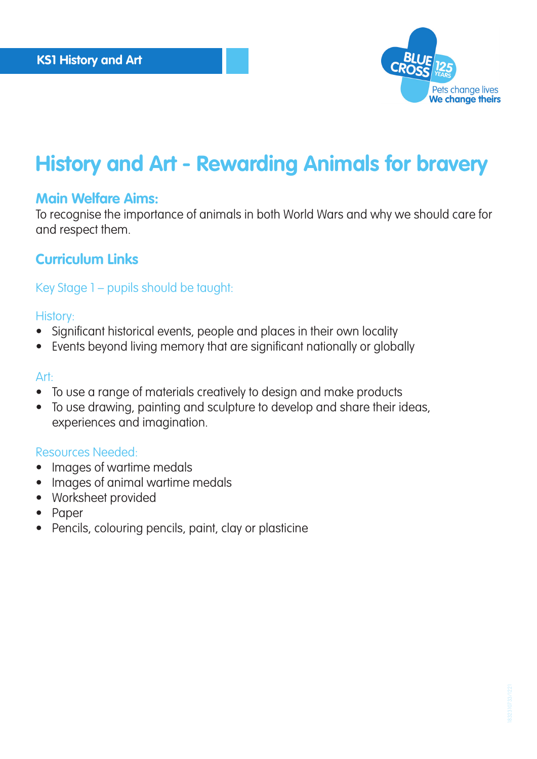

## **History and Art - Rewarding Animals for bravery**

### **Main Welfare Aims:**

To recognise the importance of animals in both World Wars and why we should care for and respect them.

### **Curriculum Links**

### Key Stage 1 – pupils should be taught:

#### History:

- Significant historical events, people and places in their own locality
- Events beyond living memory that are significant nationally or globally

#### Art:

- To use a range of materials creatively to design and make products
- To use drawing, painting and sculpture to develop and share their ideas, experiences and imagination.

#### Resources Needed:

- Images of wartime medals
- Images of animal wartime medals
- Worksheet provided
- Paper
- Pencils, colouring pencils, paint, clay or plasticine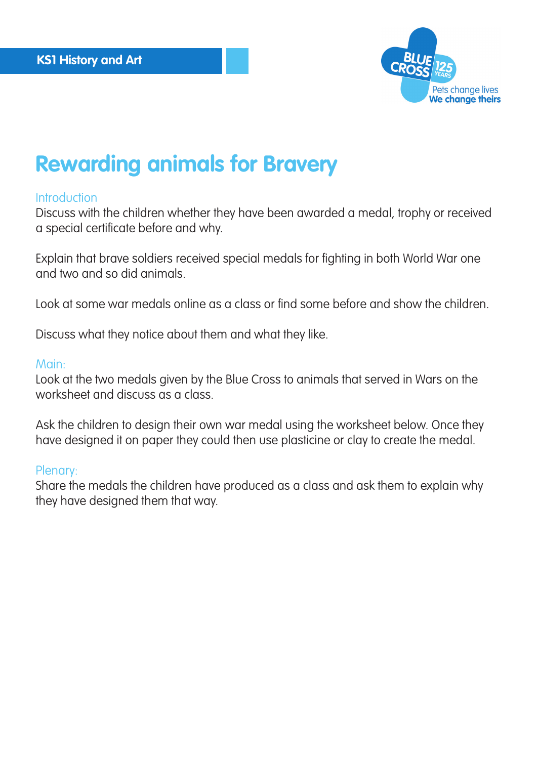

# **Rewarding animals for Bravery**

#### **Introduction**

Discuss with the children whether they have been awarded a medal, trophy or received a special certificate before and why.

Explain that brave soldiers received special medals for fighting in both World War one and two and so did animals.

Look at some war medals online as a class or find some before and show the children.

Discuss what they notice about them and what they like.

#### Main:

Look at the two medals given by the Blue Cross to animals that served in Wars on the worksheet and discuss as a class.

Ask the children to design their own war medal using the worksheet below. Once they have designed it on paper they could then use plasticine or clay to create the medal.

#### Plenary:

Share the medals the children have produced as a class and ask them to explain why they have designed them that way.